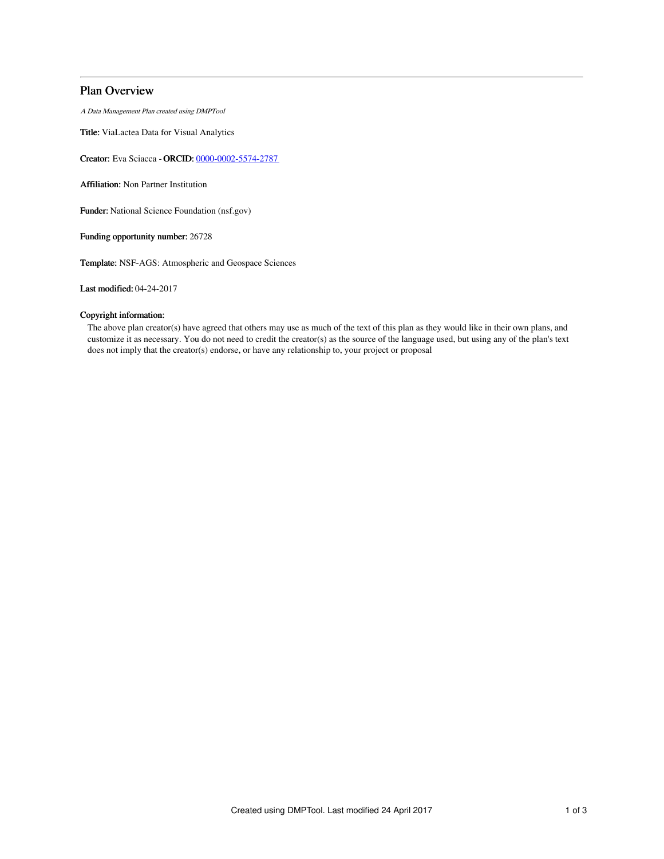# Plan Overview

A Data Management Plan created using DMPTool

Title: ViaLactea Data for Visual Analytics

Creator: Eva Sciacca - ORCID: [0000-0002-5574-2787](https://orcid.org/0000-0002-5574-2787)

Affiliation: Non Partner Institution

Funder: National Science Foundation (nsf.gov)

Funding opportunity number: 26728

Template: NSF-AGS: Atmospheric and Geospace Sciences

Last modified: 04-24-2017

# Copyright information:

The above plan creator(s) have agreed that others may use as much of the text of this plan as they would like in their own plans, and customize it as necessary. You do not need to credit the creator(s) as the source of the language used, but using any of the plan's text does not imply that the creator(s) endorse, or have any relationship to, your project or proposal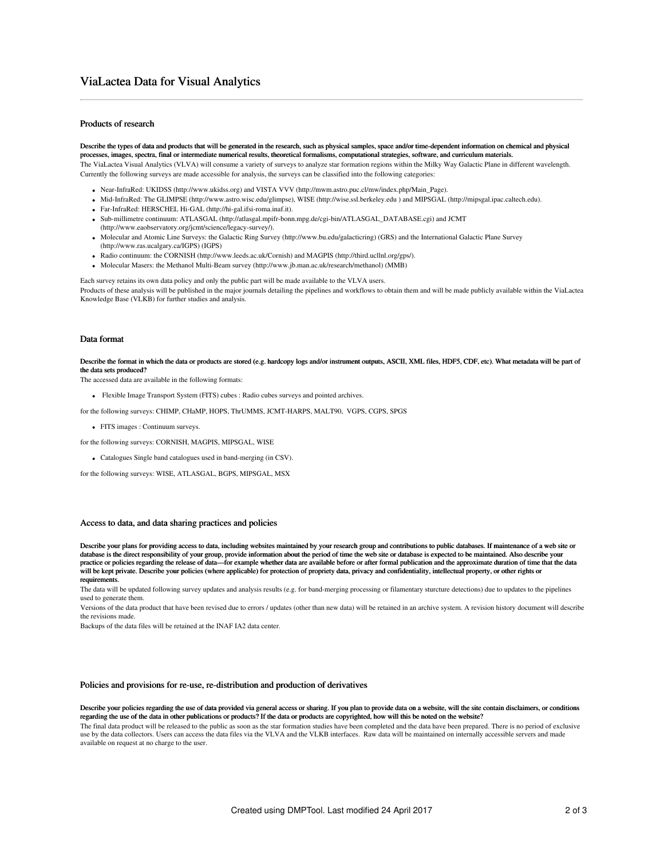## Products of research

Describe the types of data and products that will be generated in the research, such as physical samples, space and/or time-dependent information on chemical and physical processes, images, spectra, final or intermediate numerical results, theoretical formalisms, computational strategies, software, and curriculum materials. The ViaLactea Visual Analytics (VLVA) will consume a variety of surveys to analyze star formation regions within the Milky Way Galactic Plane in different wavelength.

Near-InfraRed: UKIDSS (http://www.ukidss.org) and VISTA VVV (http://mwm.astro.puc.cl/mw/index.php/Main\_Page).

Currently the following surveys are made accessible for analysis, the surveys can be classified into the following categories:

- Mid-InfraRed: The GLIMPSE (http://www.astro.wisc.edu/glimpse), WISE (http://wise.ssl.berkeley.edu ) and MIPSGAL (http://mipsgal.ipac.caltech.edu).
- Far-InfraRed: HERSCHEL Hi-GAL (http://hi-gal.ifsi-roma.inaf.it).
- Sub-millimetre continuum: ATLASGAL (http://atlasgal.mpifr-bonn.mpg.de/cgi-bin/ATLASGAL\_DATABASE.cgi) and JCMT (http://www.eaobservatory.org/jcmt/science/legacy-survey/).
- Molecular and Atomic Line Surveys: the Galactic Ring Survey (http://www.bu.edu/galacticring) (GRS) and the International Galactic Plane Survey (http://www.ras.ucalgary.ca/IGPS) (IGPS)
- Radio continuum: the CORNISH (http://www.leeds.ac.uk/Cornish) and MAGPIS (http://third.ucllnl.org/gps/).
- Molecular Masers: the Methanol Multi-Beam survey (http://www.jb.man.ac.uk/research/methanol) (MMB)

Each survey retains its own data policy and only the public part will be made available to the VLVA users.

Products of these analysis will be published in the major journals detailing the pipelines and workflows to obtain them and will be made publicly available within the ViaLactea Knowledge Base (VLKB) for further studies and analysis.

#### Data format

Describe the format in which the data or products are stored (e.g. hardcopy logs and/or instrument outputs, ASCII, XML files, HDF5, CDF, etc). What metadata will be part of the data sets produced?

The accessed data are available in the following formats:

Flexible Image Transport System (FITS) cubes : Radio cubes surveys and pointed archives.

for the following surveys: CHIMP, CHaMP, HOPS, ThrUMMS, JCMT-HARPS, MALT90, VGPS, CGPS, SPGS

- FITS images : Continuum surveys.
- for the following surveys: CORNISH, MAGPIS, MIPSGAL, WISE
	- Catalogues Single band catalogues used in band-merging (in CSV).

for the following surveys: WISE, ATLASGAL, BGPS, MIPSGAL, MSX

#### Access to data, and data sharing practices and policies

Describe your plans for providing access to data, including websites maintained by your research group and contributions to public databases. If maintenance of a web site or database is the direct responsibility of your group, provide information about the period of time the web site or database is expected to be maintained. Also describe your practice or policies regarding the release of data—for example whether data are available before or after formal publication and the approximate duration of time that the data will be kept private. Describe your policies (where applicable) for protection of propriety data, privacy and confidentiality, intellectual property, or other rights or requirements.

The data will be updated following survey updates and analysis results (e.g. for band-merging processing or filamentary sturcture detections) due to updates to the pipelines used to generate them.

Versions of the data product that have been revised due to errors / updates (other than new data) will be retained in an archive system. A revision history document will describe the revisions made.

Backups of the data files will be retained at the INAF IA2 data center.

#### Policies and provisions for re-use, re-distribution and production of derivatives

Describe your policies regarding the use of data provided via general access or sharing. If you plan to provide data on a website, will the site contain disclaimers, or conditions regarding the use of the data in other publications or products? If the data or products are copyrighted, how will this be noted on the website?

The final data product will be released to the public as soon as the star formation studies have been completed and the data have been prepared. There is no period of exclusive use by the data collectors. Users can access the data files via the VLVA and the VLKB interfaces. Raw data will be maintained on internally accessible servers and made available on request at no charge to the user.